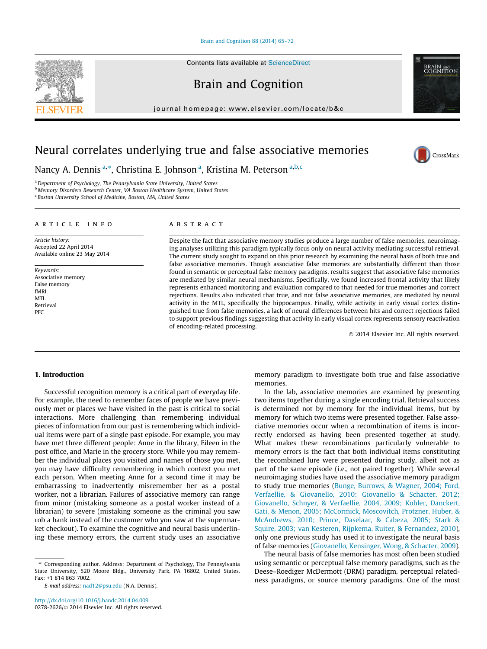### [Brain and Cognition 88 \(2014\) 65–72](http://dx.doi.org/10.1016/j.bandc.2014.04.009)

Contents lists available at [ScienceDirect](http://www.sciencedirect.com/science/journal/02782626)

Brain and Cognition

journal homepage: [www.elsevier.com/locate/b&c](http://www.elsevier.com/locate/b&c)

# Neural correlates underlying true and false associative memories

Nancy A. Dennis <sup>a,\*</sup>, Christina E. Johnson <sup>a</sup>, Kristina M. Peterson <sup>a,b,c</sup>

a Department of Psychology, The Pennsylvania State University, United States <sup>b</sup> Memory Disorders Research Center, VA Boston Healthcare System, United States

<sup>c</sup> Boston University School of Medicine, Boston, MA, United States

### article info

Article history: Accepted 22 April 2014 Available online 23 May 2014

Keywords: Associative memory False memory fMRI M<sub>TL</sub> Retrieval **PFC** 

## ABSTRACT

Despite the fact that associative memory studies produce a large number of false memories, neuroimaging analyses utilizing this paradigm typically focus only on neural activity mediating successful retrieval. The current study sought to expand on this prior research by examining the neural basis of both true and false associative memories. Though associative false memories are substantially different than those found in semantic or perceptual false memory paradigms, results suggest that associative false memories are mediated by similar neural mechanisms. Specifically, we found increased frontal activity that likely represents enhanced monitoring and evaluation compared to that needed for true memories and correct rejections. Results also indicated that true, and not false associative memories, are mediated by neural activity in the MTL, specifically the hippocampus. Finally, while activity in early visual cortex distinguished true from false memories, a lack of neural differences between hits and correct rejections failed to support previous findings suggesting that activity in early visual cortex represents sensory reactivation of encoding-related processing.

- 2014 Elsevier Inc. All rights reserved.

#### 1. Introduction

Successful recognition memory is a critical part of everyday life. For example, the need to remember faces of people we have previously met or places we have visited in the past is critical to social interactions. More challenging than remembering individual pieces of information from our past is remembering which individual items were part of a single past episode. For example, you may have met three different people: Anne in the library, Eileen in the post office, and Marie in the grocery store. While you may remember the individual places you visited and names of those you met, you may have difficulty remembering in which context you met each person. When meeting Anne for a second time it may be embarrassing to inadvertently misremember her as a postal worker, not a librarian. Failures of associative memory can range from minor (mistaking someone as a postal worker instead of a librarian) to severe (mistaking someone as the criminal you saw rob a bank instead of the customer who you saw at the supermarket checkout). To examine the cognitive and neural basis underlining these memory errors, the current study uses an associative memory paradigm to investigate both true and false associative memories.

In the lab, associative memories are examined by presenting two items together during a single encoding trial. Retrieval success is determined not by memory for the individual items, but by memory for which two items were presented together. False associative memories occur when a recombination of items is incorrectly endorsed as having been presented together at study. What makes these recombinations particularly vulnerable to memory errors is the fact that both individual items constituting the recombined lure were presented during study, albeit not as part of the same episode (i.e., not paired together). While several neuroimaging studies have used the associative memory paradigm to study true memories [\(Bunge, Burrows, & Wagner, 2004; Ford,](#page--1-0) [Verfaellie, & Giovanello, 2010; Giovanello & Schacter, 2012;](#page--1-0) [Giovanello, Schnyer, & Verfaellie, 2004, 2009; Kohler, Danckert,](#page--1-0) [Gati, & Menon, 2005; McCormick, Moscovitch, Protzner, Huber, &](#page--1-0) [McAndrews, 2010; Prince, Daselaar, & Cabeza, 2005; Stark &](#page--1-0) [Squire, 2003; van Kesteren, Rijpkema, Ruiter, & Fernandez, 2010\)](#page--1-0), only one previous study has used it to investigate the neural basis of false memories [\(Giovanello, Kensinger, Wong, & Schacter, 2009\)](#page--1-0).

The neural basis of false memories has most often been studied using semantic or perceptual false memory paradigms, such as the Deese–Roediger McDermott (DRM) paradigm, perceptual relatedness paradigms, or source memory paradigms. One of the most







<sup>⇑</sup> Corresponding author. Address: Department of Psychology, The Pennsylvania State University, 520 Moore Bldg., University Park, PA 16802, United States. Fax: +1 814 863 7002.

E-mail address: [nad12@psu.edu](mailto:nad12@psu.edu) (N.A. Dennis).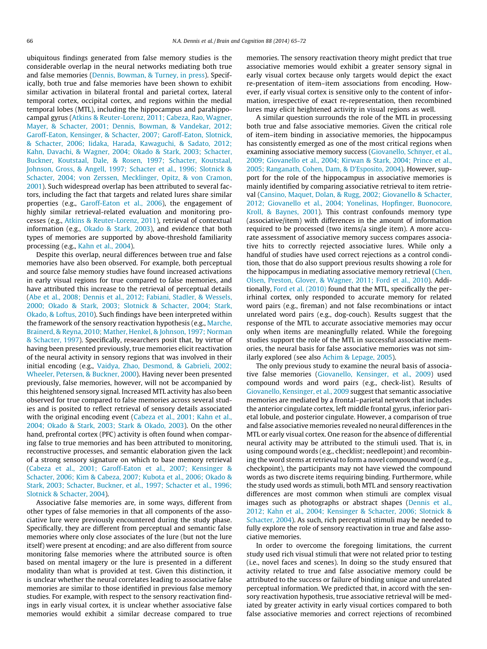ubiquitous findings generated from false memory studies is the considerable overlap in the neural networks mediating both true and false memories ([Dennis, Bowman, & Turney, in press](#page--1-0)). Specifically, both true and false memories have been shown to exhibit similar activation in bilateral frontal and parietal cortex, lateral temporal cortex, occipital cortex, and regions within the medial temporal lobes (MTL), including the hippocampus and parahippocampal gyrus [\(Atkins & Reuter-Lorenz, 2011; Cabeza, Rao, Wagner,](#page--1-0) [Mayer, & Schacter, 2001; Dennis, Bowman, & Vandekar, 2012;](#page--1-0) [Garoff-Eaton, Kensinger, & Schacter, 2007; Garoff-Eaton, Slotnick,](#page--1-0) [& Schacter, 2006; Iidaka, Harada, Kawaguchi, & Sadato, 2012;](#page--1-0) [Kahn, Davachi, & Wagner, 2004; Okado & Stark, 2003; Schacter,](#page--1-0) [Buckner, Koutstaal, Dale, & Rosen, 1997; Schacter, Koutstaal,](#page--1-0) [Johnson, Gross, & Angell, 1997; Schacter et al., 1996; Slotnick &](#page--1-0) [Schacter, 2004; von Zerssen, Mecklinger, Opitz, & von Cramon,](#page--1-0) [2001\)](#page--1-0). Such widespread overlap has been attributed to several factors, including the fact that targets and related lures share similar properties (e.g., [Garoff-Eaton et al., 2006](#page--1-0)), the engagement of highly similar retrieval-related evaluation and monitoring processes (e.g., [Atkins & Reuter-Lorenz, 2011](#page--1-0)), retrieval of contextual information (e.g., [Okado & Stark, 2003\)](#page--1-0), and evidence that both types of memories are supported by above-threshold familiarity processing (e.g., [Kahn et al., 2004\)](#page--1-0).

Despite this overlap, neural differences between true and false memories have also been observed. For example, both perceptual and source false memory studies have found increased activations in early visual regions for true compared to false memories, and have attributed this increase to the retrieval of perceptual details ([Abe et al., 2008; Dennis et al., 2012; Fabiani, Stadler, & Wessels,](#page--1-0) [2000; Okado & Stark, 2003; Slotnick & Schacter, 2004; Stark,](#page--1-0) [Okado, & Loftus, 2010](#page--1-0)). Such findings have been interpreted within the framework of the sensory reactivation hypothesis (e.g., [Marche,](#page--1-0) [Brainerd, & Reyna, 2010; Mather, Henkel, & Johnson, 1997; Norman](#page--1-0) [& Schacter, 1997\)](#page--1-0). Specifically, researchers posit that, by virtue of having been presented previously, true memories elicit reactivation of the neural activity in sensory regions that was involved in their initial encoding (e.g., [Vaidya, Zhao, Desmond, & Gabrieli, 2002;](#page--1-0) [Wheeler, Petersen, & Buckner, 2000\)](#page--1-0). Having never been presented previously, false memories, however, will not be accompanied by this heightened sensory signal. Increased MTL activity has also been observed for true compared to false memories across several studies and is posited to reflect retrieval of sensory details associated with the original encoding event ([Cabeza et al., 2001; Kahn et al.,](#page--1-0) [2004; Okado & Stark, 2003; Stark & Okado, 2003](#page--1-0)). On the other hand, prefrontal cortex (PFC) activity is often found when comparing false to true memories and has been attributed to monitoring, reconstructive processes, and semantic elaboration given the lack of a strong sensory signature on which to base memory retrieval ([Cabeza et al., 2001; Garoff-Eaton et al., 2007; Kensinger &](#page--1-0) [Schacter, 2006; Kim & Cabeza, 2007; Kubota et al., 2006; Okado &](#page--1-0) [Stark, 2003; Schacter, Buckner, et al., 1997; Schacter et al., 1996;](#page--1-0) [Slotnick & Schacter, 2004](#page--1-0)).

Associative false memories are, in some ways, different from other types of false memories in that all components of the associative lure were previously encountered during the study phase. Specifically, they are different from perceptual and semantic false memories where only close associates of the lure (but not the lure itself) were present at encoding; and are also different from source monitoring false memories where the attributed source is often based on mental imagery or the lure is presented in a different modality than what is provided at test. Given this distinction, it is unclear whether the neural correlates leading to associative false memories are similar to those identified in previous false memory studies. For example, with respect to the sensory reactivation findings in early visual cortex, it is unclear whether associative false memories would exhibit a similar decrease compared to true memories. The sensory reactivation theory might predict that true associative memories would exhibit a greater sensory signal in early visual cortex because only targets would depict the exact re-presentation of item–item associations from encoding. However, if early visual cortex is sensitive only to the content of information, irrespective of exact re-representation, then recombined lures may elicit heightened activity in visual regions as well.

A similar question surrounds the role of the MTL in processing both true and false associative memories. Given the critical role of item–item binding in associative memories, the hippocampus has consistently emerged as one of the most critical regions when examining associative memory success [\(Giovanello, Schnyer, et al.,](#page--1-0) [2009; Giovanello et al., 2004; Kirwan & Stark, 2004; Prince et al.,](#page--1-0) [2005; Ranganath, Cohen, Dam, & D'Esposito, 2004\)](#page--1-0). However, support for the role of the hippocampus in associative memories is mainly identified by comparing associative retrieval to item retrieval [\(Cansino, Maquet, Dolan, & Rugg, 2002; Giovanello & Schacter,](#page--1-0) [2012; Giovanello et al., 2004; Yonelinas, Hopfinger, Buonocore,](#page--1-0) [Kroll, & Baynes, 2001](#page--1-0)). This contrast confounds memory type (associative/item) with differences in the amount of information required to be processed (two items/a single item). A more accurate assessment of associative memory success compares associative hits to correctly rejected associative lures. While only a handful of studies have used correct rejections as a control condition, those that do also support previous results showing a role for the hippocampus in mediating associative memory retrieval ([Chen,](#page--1-0) [Olsen, Preston, Glover, & Wagner, 2011; Ford et al., 2010\)](#page--1-0). Additionally, [Ford et al. \(2010\)](#page--1-0) found that the MTL, specifically the perirhinal cortex, only responded to accurate memory for related word pairs (e.g., fireman) and not false recombinations or intact unrelated word pairs (e.g., dog-couch). Results suggest that the response of the MTL to accurate associative memories may occur only when items are meaningfully related. While the foregoing studies support the role of the MTL in successful associative memories, the neural basis for false associative memories was not similarly explored (see also [Achim & Lepage, 2005\)](#page--1-0).

The only previous study to examine the neural basis of associative false memories ([Giovanello, Kensinger, et al., 2009](#page--1-0)) used compound words and word pairs (e.g., check-list). Results of [Giovanello, Kensinger, et al., 2009](#page--1-0) suggest that semantic associative memories are mediated by a frontal–parietal network that includes the anterior cingulate cortex, left middle frontal gyrus, inferior parietal lobule, and posterior cingulate. However, a comparison of true and false associative memories revealed no neural differences in the MTL or early visual cortex. One reason for the absence of differential neural activity may be attributed to the stimuli used. That is, in using compound words (e.g., checklist; needlepoint) and recombining the word stems at retrieval to form a novel compound word (e.g., checkpoint), the participants may not have viewed the compound words as two discrete items requiring binding. Furthermore, while the study used words as stimuli, both MTL and sensory reactivation differences are most common when stimuli are complex visual images such as photographs or abstract shapes ([Dennis et al.,](#page--1-0) [2012; Kahn et al., 2004; Kensinger & Schacter, 2006; Slotnick &](#page--1-0) [Schacter, 2004\)](#page--1-0). As such, rich perceptual stimuli may be needed to fully explore the role of sensory reactivation in true and false associative memories.

In order to overcome the foregoing limitations, the current study used rich visual stimuli that were not related prior to testing (i.e., novel faces and scenes). In doing so the study ensured that activity related to true and false associative memory could be attributed to the success or failure of binding unique and unrelated perceptual information. We predicted that, in accord with the sensory reactivation hypothesis, true associative retrieval will be mediated by greater activity in early visual cortices compared to both false associative memories and correct rejections of recombined